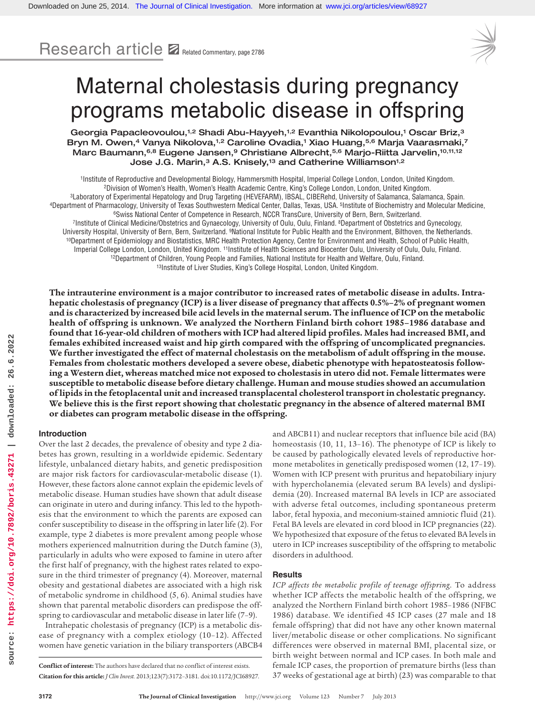Research article **Z** Related Commentary, page 2786



# Maternal cholestasis during pregnancy programs metabolic disease in offspring

Georgia Papacleovoulou,<sup>1,2</sup> Shadi Abu-Hayyeh,<sup>1,2</sup> Evanthia Nikolopoulou,<sup>1</sup> Oscar Briz,<sup>3</sup> Bryn M. Owen,<sup>4</sup> Vanya Nikolova,<sup>1,2</sup> Caroline Ovadia,<sup>1</sup> Xiao Huang,<sup>5,6</sup> Marja Vaarasmaki,<sup>7</sup> Marc Baumann, 6,8 Eugene Jansen, 9 Christiane Albrecht, 5,6 Marjo-Riitta Jarvelin, 10,11,12 Jose J.G. Marin,<sup>3</sup> A.S. Knisely,<sup>13</sup> and Catherine Williamson<sup>1,2</sup>

<sup>1</sup>Institute of Reproductive and Developmental Biology, Hammersmith Hospital, Imperial College London, London, United Kingdom.<br><sup>2</sup>Division of Women's Health, Women's Health Academic Centre, King's College London, London, U <sup>10</sup>Department of Epidemiology and Biostatistics, MRC Health Protection Agency, Centre for Environment and Health, School of Public Health, Imperial College London, London, United Kingdom. 11Institute of Health Sciences and Biocenter Oulu, University of Oulu, Oulu, Finland.<br><sup>12</sup>Department of Children, Young People and Families, National Institute for Health an

**The intrauterine environment is a major contributor to increased rates of metabolic disease in adults. Intrahepatic cholestasis of pregnancy (ICP) is a liver disease of pregnancy that affects 0.5%–2% of pregnant women and is characterized by increased bile acid levels in the maternal serum. The influence of ICP on the metabolic health of offspring is unknown. We analyzed the Northern Finland birth cohort 1985–1986 database and found that 16-year-old children of mothers with ICP had altered lipid profiles. Males had increased BMI, and females exhibited increased waist and hip girth compared with the offspring of uncomplicated pregnancies. We further investigated the effect of maternal cholestasis on the metabolism of adult offspring in the mouse. Females from cholestatic mothers developed a severe obese, diabetic phenotype with hepatosteatosis following a Western diet, whereas matched mice not exposed to cholestasis in utero did not. Female littermates were susceptible to metabolic disease before dietary challenge. Human and mouse studies showed an accumulation of lipids in the fetoplacental unit and increased transplacental cholesterol transport in cholestatic pregnancy. We believe this is the first report showing that cholestatic pregnancy in the absence of altered maternal BMI or diabetes can program metabolic disease in the offspring.**

## **Introduction**

Over the last 2 decades, the prevalence of obesity and type 2 diabetes has grown, resulting in a worldwide epidemic. Sedentary lifestyle, unbalanced dietary habits, and genetic predisposition are major risk factors for cardiovascular-metabolic disease (1). However, these factors alone cannot explain the epidemic levels of metabolic disease. Human studies have shown that adult disease can originate in utero and during infancy. This led to the hypothesis that the environment to which the parents are exposed can confer susceptibility to disease in the offspring in later life (2). For example, type 2 diabetes is more prevalent among people whose mothers experienced malnutrition during the Dutch famine (3), particularly in adults who were exposed to famine in utero after the first half of pregnancy, with the highest rates related to exposure in the third trimester of pregnancy (4). Moreover, maternal obesity and gestational diabetes are associated with a high risk of metabolic syndrome in childhood (5, 6). Animal studies have shown that parental metabolic disorders can predispose the offspring to cardiovascular and metabolic disease in later life (7–9).

Intrahepatic cholestasis of pregnancy (ICP) is a metabolic disease of pregnancy with a complex etiology (10–12). Affected women have genetic variation in the biliary transporters (ABCB4 and ABCB11) and nuclear receptors that influence bile acid (BA) homeostasis (10, 11, 13-16). The phenotype of ICP is likely to be caused by pathologically elevated levels of reproductive hormone metabolites in genetically predisposed women (12, 17–19). Women with ICP present with pruritus and hepatobiliary injury with hypercholanemia (elevated serum BA levels) and dyslipidemia (20). Increased maternal BA levels in ICP are associated with adverse fetal outcomes, including spontaneous preterm labor, fetal hypoxia, and meconium-stained amniotic fluid (21). Fetal BA levels are elevated in cord blood in ICP pregnancies (22). We hypothesized that exposure of the fetus to elevated BA levels in utero in ICP increases susceptibility of the offspring to metabolic disorders in adulthood.

# **Results**

*ICP affects the metabolic profile of teenage offspring*. To address whether ICP affects the metabolic health of the offspring, we analyzed the Northern Finland birth cohort 1985–1986 (NFBC 1986) database. We identified 45 ICP cases (27 male and 18 female offspring) that did not have any other known maternal liver/metabolic disease or other complications. No significant differences were observed in maternal BMI, placental size, or birth weight between normal and ICP cases. In both male and female ICP cases, the proportion of premature births (less than 37 weeks of gestational age at birth) (23) was comparable to that

**Conflict of interest:** The authors have declared that no conflict of interest exists. **Citation for this article:** *J Clin Invest.* 2013;123(7):3172–3181. doi:10.1172/JCI68927.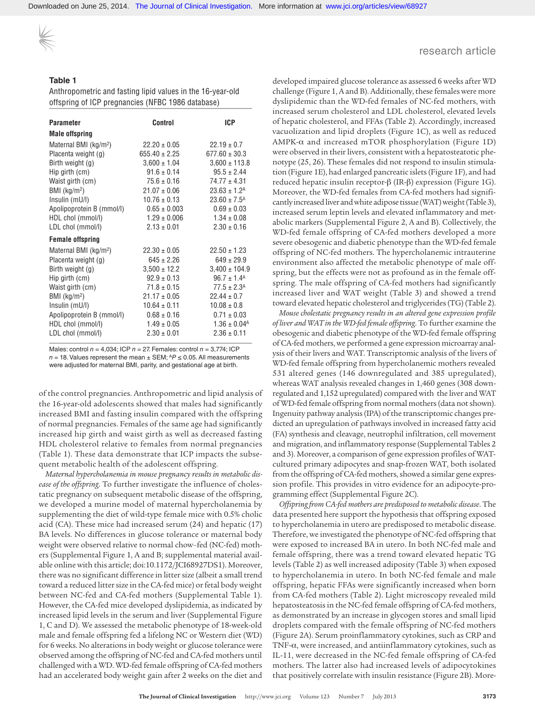Downloaded on June 25, 2014. [The Journal of Clinical Investigation.](http://www.jci.org) More information at [www.jci.org/articles/view/68927](http://dx.doi.org/10.1172/JCI68927)

# research article

# **Table 1**

Anthropometric and fasting lipid values in the 16-year-old offspring of ICP pregnancies (NFBC 1986 database)

| <b>Parameter</b>                  | Control           | <b>ICP</b>                   |
|-----------------------------------|-------------------|------------------------------|
| <b>Male offspring</b>             |                   |                              |
| Maternal BMI (kg/m <sup>2</sup> ) | $22.20 \pm 0.05$  | $22.19 \pm 0.7$              |
| Placenta weight (g)               | $655.40 \pm 2.25$ | $677.60 \pm 30.3$            |
| Birth weight (g)                  | $3.600 \pm 1.04$  | $3,600 \pm 113.8$            |
| Hip girth (cm)                    | $91.6 \pm 0.14$   | $95.5 \pm 2.44$              |
| Waist girth (cm)                  | $75.6 \pm 0.16$   | $74.77 \pm 4.31$             |
| BMI (kg/m <sup>2</sup> )          | $21.07 \pm 0.06$  | $23.63 \pm 1.2^{\text{A}}$   |
| Insulin (mU/l)                    | $10.76 \pm 0.13$  | $23.60 \pm 7.5^{\text{A}}$   |
| Apolipoprotein B (mmol/l)         | $0.65 \pm 0.003$  | $0.69 \pm 0.03$              |
| HDL chol (mmol/l)                 | $1.29 \pm 0.006$  | $1.34 \pm 0.08$              |
| LDL chol (mmol/l)                 | $2.13 \pm 0.01$   | $2.30 \pm 0.16$              |
| <b>Female offspring</b>           |                   |                              |
| Maternal BMI (kg/m <sup>2</sup> ) | $22.30 \pm 0.05$  | $22.50 \pm 1.23$             |
| Placenta weight (g)               | $645 \pm 2.26$    | $649 \pm 29.9$               |
| Birth weight (g)                  | $3,500 \pm 12.2$  | $3,400 \pm 104.9$            |
| Hip girth (cm)                    | $92.9 \pm 0.13$   | $96.7 \pm 1.4^{\text{A}}$    |
| Waist girth (cm)                  | $71.8 \pm 0.15$   | $77.5 \pm 2.3^{\text{A}}$    |
| BMI (kg/m <sup>2</sup> )          | $21.17 \pm 0.05$  | $22.44 \pm 0.7$              |
| Insulin (mU/l)                    | $10.64 \pm 0.11$  | $10.08 \pm 0.8$              |
| Apolipoprotein B (mmol/l)         | $0.68 \pm 0.16$   | $0.71 \pm 0.03$              |
| HDL chol (mmol/l)                 | $1.49 \pm 0.05$   | $1.36 \pm 0.04$ <sup>A</sup> |
| LDL chol (mmol/l)                 | $2.30 \pm 0.01$   | $2.36 \pm 0.11$              |

Males: control *n* = 4,034; ICP *n* = 27. Females: control *n* = 3,774; ICP  $n = 18$ . Values represent the mean  $\pm$  SEM;  $^{AP}$   $\leq$  0.05. All measurements were adjusted for maternal BMI, parity, and gestational age at birth.

of the control pregnancies. Anthropometric and lipid analysis of the 16-year-old adolescents showed that males had significantly increased BMI and fasting insulin compared with the offspring of normal pregnancies. Females of the same age had significantly increased hip girth and waist girth as well as decreased fasting HDL cholesterol relative to females from normal pregnancies (Table 1). These data demonstrate that ICP impacts the subsequent metabolic health of the adolescent offspring.

*Maternal hypercholanemia in mouse pregnancy results in metabolic disease of the offspring*. To further investigate the influence of cholestatic pregnancy on subsequent metabolic disease of the offspring, we developed a murine model of maternal hypercholanemia by supplementing the diet of wild-type female mice with 0.5% cholic acid (CA). These mice had increased serum (24) and hepatic (17) BA levels. No differences in glucose tolerance or maternal body weight were observed relative to normal chow–fed (NC-fed) mothers (Supplemental Figure 1, A and B; supplemental material available online with this article; doi:10.1172/JCI68927DS1). Moreover, there was no significant difference in litter size (albeit a small trend toward a reduced litter size in the CA-fed mice) or fetal body weight between NC-fed and CA-fed mothers (Supplemental Table 1). However, the CA-fed mice developed dyslipidemia, as indicated by increased lipid levels in the serum and liver (Supplemental Figure 1, C and D). We assessed the metabolic phenotype of 18-week-old male and female offspring fed a lifelong NC or Western diet (WD) for 6 weeks. No alterations in body weight or glucose tolerance were observed among the offspring of NC-fed and CA-fed mothers until challenged with a WD. WD-fed female offspring of CA-fed mothers had an accelerated body weight gain after 2 weeks on the diet and

developed impaired glucose tolerance as assessed 6 weeks after WD challenge (Figure 1, A and B). Additionally, these females were more dyslipidemic than the WD-fed females of NC-fed mothers, with increased serum cholesterol and LDL cholesterol, elevated levels of hepatic cholesterol, and FFAs (Table 2). Accordingly, increased vacuolization and lipid droplets (Figure 1C), as well as reduced AMPK-α and increased mTOR phosphorylation (Figure 1D) were observed in their livers, consistent with a hepatosteatotic phenotype (25, 26). These females did not respond to insulin stimulation (Figure 1E), had enlarged pancreatic islets (Figure 1F), and had reduced hepatic insulin receptor-β (IR-β) expression (Figure 1G). Moreover, the WD-fed females from CA-fed mothers had significantly increased liver and white adipose tissue (WAT) weight (Table 3), increased serum leptin levels and elevated inflammatory and metabolic markers (Supplemental Figure 2, A and B). Collectively, the WD-fed female offspring of CA-fed mothers developed a more severe obesogenic and diabetic phenotype than the WD-fed female offspring of NC-fed mothers. The hypercholanemic intrauterine environment also affected the metabolic phenotype of male offspring, but the effects were not as profound as in the female offspring. The male offspring of CA-fed mothers had significantly increased liver and WAT weight (Table 3) and showed a trend toward elevated hepatic cholesterol and triglycerides (TG) (Table 2).

*Mouse cholestatic pregnancy results in an altered gene expression profile of liver and WAT in the WD-fed female offspring*. To further examine the obesogenic and diabetic phenotype of the WD-fed female offspring of CA-fed mothers, we performed a gene expression microarray analysis of their livers and WAT. Transcriptomic analysis of the livers of WD-fed female offspring from hypercholanemic mothers revealed 531 altered genes (146 downregulated and 385 upregulated), whereas WAT analysis revealed changes in 1,460 genes (308 downregulated and 1,152 upregulated) compared with the liver and WAT of WD-fed female offspring from normal mothers (data not shown). Ingenuity pathway analysis (IPA) of the transcriptomic changes predicted an upregulation of pathways involved in increased fatty acid (FA) synthesis and cleavage, neutrophil infiltration, cell movement and migration, and inflammatory response (Supplemental Tables 2 and 3). Moreover, a comparison of gene expression profiles of WATcultured primary adipocytes and snap-frozen WAT, both isolated from the offspring of CA-fed mothers, showed a similar gene expression profile. This provides in vitro evidence for an adipocyte-programming effect (Supplemental Figure 2C).

*Offspring from CA-fed mothers are predisposed to metabolic disease*. The data presented here support the hypothesis that offspring exposed to hypercholanemia in utero are predisposed to metabolic disease. Therefore, we investigated the phenotype of NC-fed offspring that were exposed to increased BA in utero. In both NC-fed male and female offspring, there was a trend toward elevated hepatic TG levels (Table 2) as well increased adiposity (Table 3) when exposed to hypercholanemia in utero. In both NC-fed female and male offspring, hepatic FFAs were significantly increased when born from CA-fed mothers (Table 2). Light microscopy revealed mild hepatosteatosis in the NC-fed female offspring of CA-fed mothers, as demonstrated by an increase in glycogen stores and small lipid droplets compared with the female offspring of NC-fed mothers (Figure 2A). Serum proinflammatory cytokines, such as CRP and TNF-α, were increased, and antiinflammatory cytokines, such as IL-11, were decreased in the NC-fed female offspring of CA-fed mothers. The latter also had increased levels of adipocytokines that positively correlate with insulin resistance (Figure 2B). More-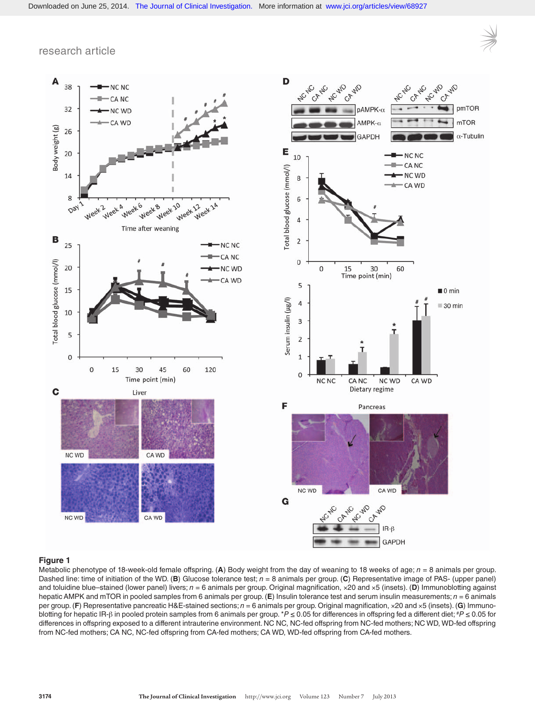



# **Figure 1**

Metabolic phenotype of 18-week-old female offspring. (**A**) Body weight from the day of weaning to 18 weeks of age; *n* = 8 animals per group. Dashed line: time of initiation of the WD. (**B**) Glucose tolerance test; *n* = 8 animals per group. (**C**) Representative image of PAS- (upper panel) and toluidine blue–stained (lower panel) livers; *n* = 6 animals per group. Original magnification, ×20 and ×5 (insets). (**D**) Immunoblotting against hepatic AMPK and mTOR in pooled samples from 6 animals per group. (**E**) Insulin tolerance test and serum insulin measurements; *n* = 6 animals per group. (**F**) Representative pancreatic H&E-stained sections; *n* = 6 animals per group. Original magnification, ×20 and ×5 (insets). (**G**) Immunoblotting for hepatic IR-β in pooled protein samples from 6 animals per group. \**P* ≤ 0.05 for differences in offspring fed a different diet; #*P* ≤ 0.05 for differences in offspring exposed to a different intrauterine environment. NC NC, NC-fed offspring from NC-fed mothers; NC WD, WD-fed offspring from NC-fed mothers; CA NC, NC-fed offspring from CA-fed mothers; CA WD, WD-fed offspring from CA-fed mothers.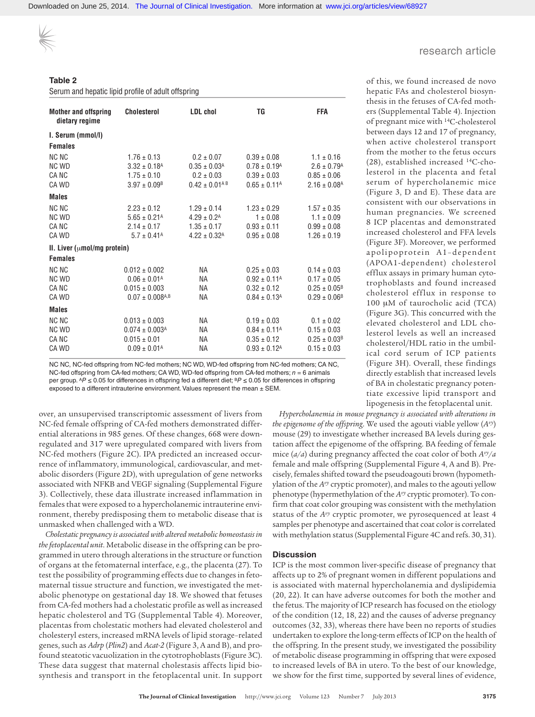**Table 2**

Serum and hepatic lipid profile of adult offspring

| <b>Mother and offspring</b><br>dietary regime | <b>Cholesterol</b>              | <b>LDL</b> chol              | TG                           | FFA                          |
|-----------------------------------------------|---------------------------------|------------------------------|------------------------------|------------------------------|
| I. Serum (mmol/l)                             |                                 |                              |                              |                              |
| <b>Females</b>                                |                                 |                              |                              |                              |
| <b>NC NC</b>                                  | $1.76 \pm 0.13$                 | $0.2 \pm 0.07$               | $0.39 \pm 0.08$              | $1.1 \pm 0.16$               |
| NC WD                                         | $3.32 \pm 0.18$ <sup>A</sup>    | $0.35 \pm 0.03$ <sup>A</sup> | $0.78 \pm 0.19$ <sup>A</sup> | $2.6 \pm 0.79$ <sup>A</sup>  |
| <b>CANC</b>                                   | $1.75 \pm 0.10$                 | $0.2 \pm 0.03$               | $0.39 \pm 0.03$              | $0.85 \pm 0.06$              |
| CA WD                                         | $3.97 \pm 0.09$ <sup>B</sup>    | $0.42 \pm 0.01^{AB}$         | $0.65 \pm 0.11^{\text{A}}$   | $2.16 \pm 0.08$ <sup>A</sup> |
| <b>Males</b>                                  |                                 |                              |                              |                              |
| NC NC                                         | $2.23 \pm 0.12$                 | $1.29 \pm 0.14$              | $1.23 \pm 0.29$              | $1.57 \pm 0.35$              |
| <b>NC WD</b>                                  | $5.65 \pm 0.21$ <sup>A</sup>    | $4.29 \pm 0.2$ <sup>A</sup>  | $1 \pm 0.08$                 | $1.1 \pm 0.09$               |
| CA NC                                         | $2.14 \pm 0.17$                 | $1.35 \pm 0.17$              | $0.93 \pm 0.11$              | $0.99 \pm 0.08$              |
| CA WD                                         | $5.7 \pm 0.41$ <sup>A</sup>     | $4.22 \pm 0.32$ <sup>A</sup> | $0.95 \pm 0.08$              | $1.26 \pm 0.19$              |
| II. Liver ( $\mu$ mol/mg protein)             |                                 |                              |                              |                              |
| <b>Females</b>                                |                                 |                              |                              |                              |
| <b>NC NC</b>                                  | $0.012 \pm 0.002$               | <b>NA</b>                    | $0.25 \pm 0.03$              | $0.14 \pm 0.03$              |
| NC WD                                         | $0.06 \pm 0.01^{\text{A}}$      | <b>NA</b>                    | $0.92 \pm 0.11^{\text{A}}$   | $0.17 \pm 0.05$              |
| CA NC                                         | $0.015 \pm 0.003$               | <b>NA</b>                    | $0.32 \pm 0.12$              | $0.25 \pm 0.05^{\circ}$      |
| CA WD                                         | $0.07 \pm 0.008$ <sup>A,B</sup> | <b>NA</b>                    | $0.84 \pm 0.13$ <sup>A</sup> | $0.29 \pm 0.06^8$            |
| <b>Males</b>                                  |                                 |                              |                              |                              |
| NC NC                                         | $0.013 \pm 0.003$               | NA.                          | $0.19 \pm 0.03$              | $0.1 \pm 0.02$               |
| NC WD                                         | $0.074 \pm 0.003$ <sup>A</sup>  | <b>NA</b>                    | $0.84 \pm 0.11^{\text{A}}$   | $0.15 \pm 0.03$              |
| <b>CANC</b>                                   | $0.015 \pm 0.01$                | <b>NA</b>                    | $0.35 \pm 0.12$              | $0.25 \pm 0.03$ <sup>B</sup> |
| CA WD                                         | $0.09 \pm 0.01^{\text{A}}$      | <b>NA</b>                    | $0.93 \pm 0.12$ <sup>A</sup> | $0.15 \pm 0.03$              |
|                                               |                                 |                              |                              |                              |

NC NC, NC-fed offspring from NC-fed mothers; NC WD, WD-fed offspring from NC-fed mothers; CA NC, NC-fed offspring from CA-fed mothers; CA WD, WD-fed offspring from CA-fed mothers; *n* = 6 animals per group. AP ≤ 0.05 for differences in offspring fed a different diet; <sup>B</sup>P ≤ 0.05 for differences in offspring exposed to a different intrauterine environment. Values represent the mean  $\pm$  SEM.

over, an unsupervised transcriptomic assessment of livers from NC-fed female offspring of CA-fed mothers demonstrated differential alterations in 985 genes. Of these changes, 668 were downregulated and 317 were upregulated compared with livers from NC-fed mothers (Figure 2C). IPA predicted an increased occurrence of inflammatory, immunological, cardiovascular, and metabolic disorders (Figure 2D), with upregulation of gene networks associated with NFKB and VEGF signaling (Supplemental Figure 3). Collectively, these data illustrate increased inflammation in females that were exposed to a hypercholanemic intrauterine environment, thereby predisposing them to metabolic disease that is unmasked when challenged with a WD.

*Cholestatic pregnancy is associated with altered metabolic homeostasis in the fetoplacental unit*. Metabolic disease in the offspring can be programmed in utero through alterations in the structure or function of organs at the fetomaternal interface, e.g., the placenta (27). To test the possibility of programming effects due to changes in fetomaternal tissue structure and function, we investigated the metabolic phenotype on gestational day 18. We showed that fetuses from CA-fed mothers had a cholestatic profile as well as increased hepatic cholesterol and TG (Supplemental Table 4). Moreover, placentas from cholestatic mothers had elevated cholesterol and cholesteryl esters, increased mRNA levels of lipid storage–related genes, such as *Adrp* (*Plin2*) and *Acat-2* (Figure 3, A and B), and profound steatotic vacuolization in the cytotrophoblasts (Figure 3C). These data suggest that maternal cholestasis affects lipid biosynthesis and transport in the fetoplacental unit. In support

hepatic FAs and cholesterol biosynthesis in the fetuses of CA-fed mothers (Supplemental Table 4). Injection of pregnant mice with 14C-cholesterol between days 12 and 17 of pregnancy, when active cholesterol transport from the mother to the fetus occurs (28), established increased 14C-cholesterol in the placenta and fetal serum of hypercholanemic mice (Figure 3, D and E). These data are consistent with our observations in human pregnancies. We screened 8 ICP placentas and demonstrated increased cholesterol and FFA levels (Figure 3F). Moreover, we performed apolipoprotein A1–dependent (APOA1-dependent) cholesterol efflux assays in primary human cytotrophoblasts and found increased cholesterol efflux in response to 100 μM of taurocholic acid (TCA) (Figure 3G). This concurred with the elevated cholesterol and LDL cholesterol levels as well an increased cholesterol/HDL ratio in the umbilical cord serum of ICP patients (Figure 3H). Overall, these findings directly establish that increased levels of BA in cholestatic pregnancy poten-

tiate excessive lipid transport and lipogenesis in the fetoplacental unit. *Hypercholanemia in mouse pregnancy is associated with alterations in the epigenome of the offspring*. We used the agouti viable yellow (*Avy*) mouse (29) to investigate whether increased BA levels during gestation affect the epigenome of the offspring. BA feeding of female mice (*a/a*) during pregnancy affected the coat color of both *Avy/a* female and male offspring (Supplemental Figure 4, A and B). Precisely, females shifted toward the pseudoagouti brown (hypomethylation of the *Avy* cryptic promoter), and males to the agouti yellow

firm that coat color grouping was consistent with the methylation status of the *Avy* cryptic promoter, we pyrosequenced at least 4 samples per phenotype and ascertained that coat color is correlated with methylation status (Supplemental Figure 4C and refs. 30, 31).

phenotype (hypermethylation of the *Avy* cryptic promoter). To con-

#### **Discussion**

ICP is the most common liver-specific disease of pregnancy that affects up to 2% of pregnant women in different populations and is associated with maternal hypercholanemia and dyslipidemia (20, 22). It can have adverse outcomes for both the mother and the fetus. The majority of ICP research has focused on the etiology of the condition (12, 18, 22) and the causes of adverse pregnancy outcomes (32, 33), whereas there have been no reports of studies undertaken to explore the long-term effects of ICP on the health of the offspring. In the present study, we investigated the possibility of metabolic disease programming in offspring that were exposed to increased levels of BA in utero. To the best of our knowledge, we show for the first time, supported by several lines of evidence,

# research article

of this, we found increased de novo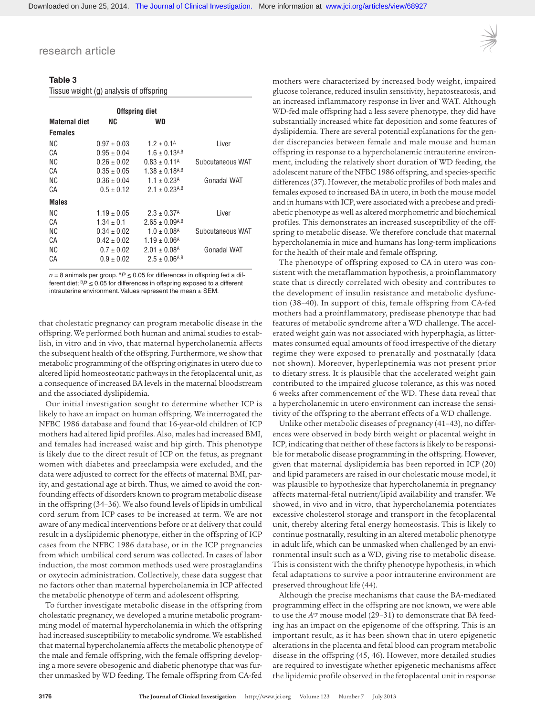Tissue weight (g) analysis of offspring

# **Table 3**

|                |                 | <b>Offspring diet</b>          |                  |
|----------------|-----------------|--------------------------------|------------------|
| Maternal diet  | NC              | WD                             |                  |
| <b>Females</b> |                 |                                |                  |
| ΝC             | $0.97 \pm 0.03$ | $1.2 \pm 0.1^{\text{A}}$       | Liver            |
| СA             | $0.95 \pm 0.04$ | $1.6 \pm 0.13$ <sup>A,B</sup>  |                  |
| ΝC             | $0.26 \pm 0.02$ | $0.83 \pm 0.11^{\text{A}}$     | Subcutaneous WAT |
| СA             | $0.35 \pm 0.05$ | $1.38 \pm 0.18$ <sup>A,B</sup> |                  |
| ΝC             | $0.36 \pm 0.04$ | $1.1 \pm 0.23$ <sup>A</sup>    | Gonadal WAT      |
| СA             | $0.5 \pm 0.12$  | $2.1 \pm 0.23$ <sup>A,B</sup>  |                  |
| <b>Males</b>   |                 |                                |                  |
| ΝC             | $1.19 \pm 0.05$ | $2.3 \pm 0.37$ <sup>A</sup>    | Liver            |
| СA             | $1.34 \pm 0.1$  | $2.65 \pm 0.09$ <sup>A,B</sup> |                  |
| ΝC             | $0.34 \pm 0.02$ | $1.0 \pm 0.08$ <sup>A</sup>    | Subcutaneous WAT |
| CА             | $0.42 \pm 0.02$ | $1.19 \pm 0.06$ <sup>A</sup>   |                  |
| ΝC             | $0.7 \pm 0.02$  | $2.01 \pm 0.08$ <sup>A</sup>   | Gonadal WAT      |
| СA             | $0.9 \pm 0.02$  | $2.5 \pm 0.06$ <sup>A,B</sup>  |                  |
|                |                 |                                |                  |

 $n = 8$  animals per group.  $^AP \le 0.05$  for differences in offspring fed a different diet; B*P* ≤ 0.05 for differences in offspring exposed to a different intrauterine environment. Values represent the mean ± SEM.

that cholestatic pregnancy can program metabolic disease in the offspring. We performed both human and animal studies to establish, in vitro and in vivo, that maternal hypercholanemia affects the subsequent health of the offspring. Furthermore, we show that metabolic programming of the offspring originates in utero due to altered lipid homeosteotatic pathways in the fetoplacental unit, as a consequence of increased BA levels in the maternal bloodstream and the associated dyslipidemia.

Our initial investigation sought to determine whether ICP is likely to have an impact on human offspring. We interrogated the NFBC 1986 database and found that 16-year-old children of ICP mothers had altered lipid profiles. Also, males had increased BMI, and females had increased waist and hip girth. This phenotype is likely due to the direct result of ICP on the fetus, as pregnant women with diabetes and preeclampsia were excluded, and the data were adjusted to correct for the effects of maternal BMI, parity, and gestational age at birth. Thus, we aimed to avoid the confounding effects of disorders known to program metabolic disease in the offspring (34–36). We also found levels of lipids in umbilical cord serum from ICP cases to be increased at term. We are not aware of any medical interventions before or at delivery that could result in a dyslipidemic phenotype, either in the offspring of ICP cases from the NFBC 1986 database, or in the ICP pregnancies from which umbilical cord serum was collected. In cases of labor induction, the most common methods used were prostaglandins or oxytocin administration. Collectively, these data suggest that no factors other than maternal hypercholanemia in ICP affected the metabolic phenotype of term and adolescent offspring.

To further investigate metabolic disease in the offspring from cholestatic pregnancy, we developed a murine metabolic programming model of maternal hypercholanemia in which the offspring had increased susceptibility to metabolic syndrome. We established that maternal hypercholanemia affects the metabolic phenotype of the male and female offspring, with the female offspring developing a more severe obesogenic and diabetic phenotype that was further unmasked by WD feeding. The female offspring from CA-fed

mothers were characterized by increased body weight, impaired glucose tolerance, reduced insulin sensitivity, hepatosteatosis, and an increased inflammatory response in liver and WAT. Although WD-fed male offspring had a less severe phenotype, they did have substantially increased white fat deposition and some features of dyslipidemia. There are several potential explanations for the gender discrepancies between female and male mouse and human offspring in response to a hypercholanemic intrauterine environment, including the relatively short duration of WD feeding, the adolescent nature of the NFBC 1986 offspring, and species-specific differences (37). However, the metabolic profiles of both males and females exposed to increased BA in utero, in both the mouse model and in humans with ICP, were associated with a preobese and prediabetic phenotype as well as altered morphometric and biochemical profiles. This demonstrates an increased susceptibility of the offspring to metabolic disease. We therefore conclude that maternal hypercholanemia in mice and humans has long-term implications for the health of their male and female offspring.

The phenotype of offspring exposed to CA in utero was consistent with the metaflammation hypothesis, a proinflammatory state that is directly correlated with obesity and contributes to the development of insulin resistance and metabolic dysfunction (38–40). In support of this, female offspring from CA-fed mothers had a proinflammatory, predisease phenotype that had features of metabolic syndrome after a WD challenge. The accelerated weight gain was not associated with hyperphagia, as littermates consumed equal amounts of food irrespective of the dietary regime they were exposed to prenatally and postnatally (data not shown). Moreover, hyperleptinemia was not present prior to dietary stress. It is plausible that the accelerated weight gain contributed to the impaired glucose tolerance, as this was noted 6 weeks after commencement of the WD. These data reveal that a hypercholanemic in utero environment can increase the sensitivity of the offspring to the aberrant effects of a WD challenge.

Unlike other metabolic diseases of pregnancy (41–43), no differences were observed in body birth weight or placental weight in ICP, indicating that neither of these factors is likely to be responsible for metabolic disease programming in the offspring. However, given that maternal dyslipidemia has been reported in ICP (20) and lipid parameters are raised in our cholestatic mouse model, it was plausible to hypothesize that hypercholanemia in pregnancy affects maternal-fetal nutrient/lipid availability and transfer. We showed, in vivo and in vitro, that hypercholanemia potentiates excessive cholesterol storage and transport in the fetoplacental unit, thereby altering fetal energy homeostasis. This is likely to continue postnatally, resulting in an altered metabolic phenotype in adult life, which can be unmasked when challenged by an environmental insult such as a WD, giving rise to metabolic disease. This is consistent with the thrifty phenotype hypothesis, in which fetal adaptations to survive a poor intrauterine environment are preserved throughout life (44).

Although the precise mechanisms that cause the BA-mediated programming effect in the offspring are not known, we were able to use the *Avy* mouse model (29–31) to demonstrate that BA feeding has an impact on the epigenome of the offspring. This is an important result, as it has been shown that in utero epigenetic alterations in the placenta and fetal blood can program metabolic disease in the offspring (45, 46). However, more detailed studies are required to investigate whether epigenetic mechanisms affect the lipidemic profile observed in the fetoplacental unit in response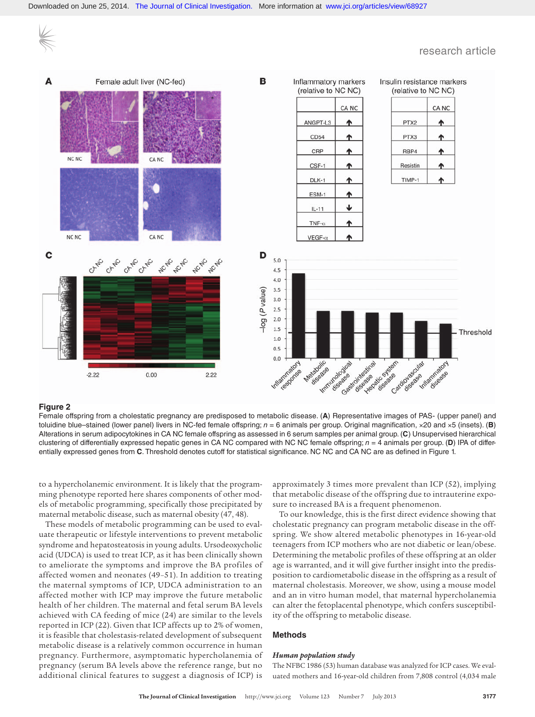

## **Figure 2**

Female offspring from a cholestatic pregnancy are predisposed to metabolic disease. (**A**) Representative images of PAS- (upper panel) and toluidine blue–stained (lower panel) livers in NC-fed female offspring; *n* = 6 animals per group. Original magnification, ×20 and ×5 (insets). (**B**) Alterations in serum adipocytokines in CA NC female offspring as assessed in 6 serum samples per animal group. (**C**) Unsupervised hierarchical clustering of differentially expressed hepatic genes in CA NC compared with NC NC female offspring; *n* = 4 animals per group. (**D**) IPA of differentially expressed genes from **C**. Threshold denotes cutoff for statistical significance. NC NC and CA NC are as defined in Figure 1.

to a hypercholanemic environment. It is likely that the programming phenotype reported here shares components of other models of metabolic programming, specifically those precipitated by maternal metabolic disease, such as maternal obesity (47, 48).

These models of metabolic programming can be used to evaluate therapeutic or lifestyle interventions to prevent metabolic syndrome and hepatosteatosis in young adults. Ursodeoxycholic acid (UDCA) is used to treat ICP, as it has been clinically shown to ameliorate the symptoms and improve the BA profiles of affected women and neonates (49–51). In addition to treating the maternal symptoms of ICP, UDCA administration to an affected mother with ICP may improve the future metabolic health of her children. The maternal and fetal serum BA levels achieved with CA feeding of mice (24) are similar to the levels reported in ICP (22). Given that ICP affects up to 2% of women, it is feasible that cholestasis-related development of subsequent metabolic disease is a relatively common occurrence in human pregnancy. Furthermore, asymptomatic hypercholanemia of pregnancy (serum BA levels above the reference range, but no additional clinical features to suggest a diagnosis of ICP) is

approximately 3 times more prevalent than ICP (52), implying that metabolic disease of the offspring due to intrauterine exposure to increased BA is a frequent phenomenon.

To our knowledge, this is the first direct evidence showing that cholestatic pregnancy can program metabolic disease in the offspring. We show altered metabolic phenotypes in 16-year-old teenagers from ICP mothers who are not diabetic or lean/obese. Determining the metabolic profiles of these offspring at an older age is warranted, and it will give further insight into the predisposition to cardiometabolic disease in the offspring as a result of maternal cholestasis. Moreover, we show, using a mouse model and an in vitro human model, that maternal hypercholanemia can alter the fetoplacental phenotype, which confers susceptibility of the offspring to metabolic disease.

## **Methods**

#### *Human population study*

The NFBC 1986 (53) human database was analyzed for ICP cases. We evaluated mothers and 16-year-old children from 7,808 control (4,034 male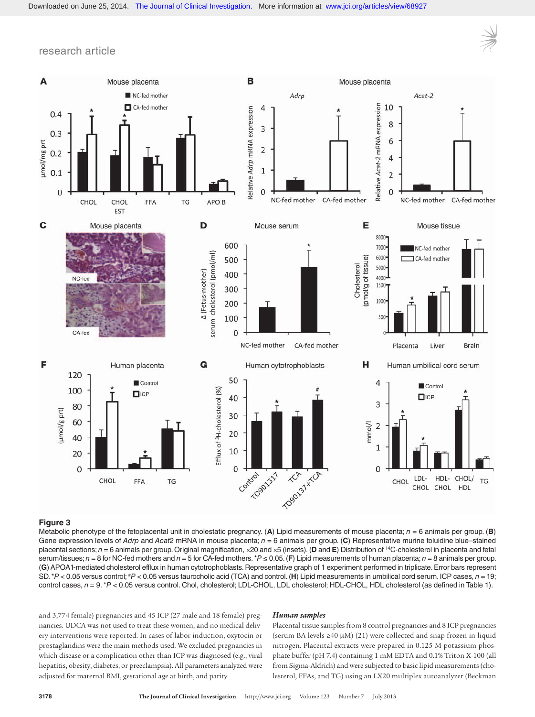



# **Figure 3**

Metabolic phenotype of the fetoplacental unit in cholestatic pregnancy. (**A**) Lipid measurements of mouse placenta; *n* = 6 animals per group. (**B**) Gene expression levels of *Adrp* and *Acat2* mRNA in mouse placenta; *n* = 6 animals per group. (**C**) Representative murine toluidine blue–stained placental sections; *n* = 6 animals per group. Original magnification, ×20 and ×5 (insets). (**D** and **E**) Distribution of 14C-cholesterol in placenta and fetal serum/tissues; *n* = 8 for NC-fed mothers and *n* = 5 for CA-fed mothers. \**P* ≤ 0.05. (**F**) Lipid measurements of human placenta; *n* = 8 animals per group. (**G**) APOA1-mediated cholesterol efflux in human cytotrophoblasts. Representative graph of 1 experiment performed in triplicate. Error bars represent SD. \**P* < 0.05 versus control; #*P* < 0.05 versus taurocholic acid (TCA) and control. (**H**) Lipid measurements in umbilical cord serum. ICP cases, *n* = 19; control cases,  $n = 9$ . \**P* < 0.05 versus control. Chol, cholesterol; LDL-CHOL, LDL cholesterol; HDL-CHOL, HDL cholesterol (as defined in Table 1).

and 3,774 female) pregnancies and 45 ICP (27 male and 18 female) pregnancies. UDCA was not used to treat these women, and no medical delivery interventions were reported. In cases of labor induction, oxytocin or prostaglandins were the main methods used. We excluded pregnancies in which disease or a complication other than ICP was diagnosed (e.g., viral hepatitis, obesity, diabetes, or preeclampsia). All parameters analyzed were adjusted for maternal BMI, gestational age at birth, and parity.

#### *Human samples*

Placental tissue samples from 8 control pregnancies and 8 ICP pregnancies (serum BA levels ≥40 μM) (21) were collected and snap frozen in liquid nitrogen. Placental extracts were prepared in 0.125 M potassium phosphate buffer (pH 7.4) containing 1 mM EDTA and 0.1% Triton X-100 (all from Sigma-Aldrich) and were subjected to basic lipid measurements (cholesterol, FFAs, and TG) using an LX20 multiplex autoanalyzer (Beckman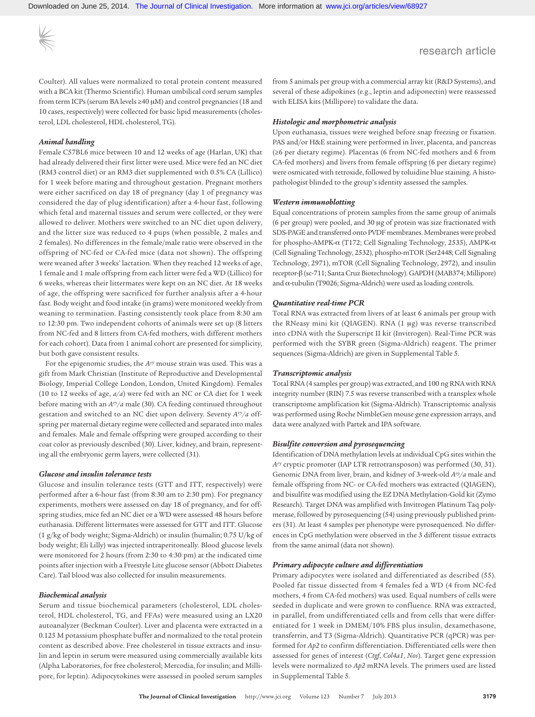Downloaded on June 25, 2014. [The Journal of Clinical Investigation.](http://www.jci.org) More information at [www.jci.org/articles/view/68927](http://dx.doi.org/10.1172/JCI68927)

research article

Coulter). All values were normalized to total protein content measured with a BCA kit (Thermo Scientific). Human umbilical cord serum samples from term ICPs (serum BA levels ≥40 μM) and control pregnancies (18 and 10 cases, respectively) were collected for basic lipid measurements (cholesterol, LDL cholesterol, HDL cholesterol, TG).

# *Animal handling*

Female C57BL6 mice between 10 and 12 weeks of age (Harlan, UK) that had already delivered their first litter were used. Mice were fed an NC diet (RM3 control diet) or an RM3 diet supplemented with 0.5% CA (Lillico) for 1 week before mating and throughout gestation. Pregnant mothers were either sacrificed on day 18 of pregnancy (day 1 of pregnancy was considered the day of plug identification) after a 4-hour fast, following which fetal and maternal tissues and serum were collected, or they were allowed to deliver. Mothers were switched to an NC diet upon delivery, and the litter size was reduced to 4 pups (when possible, 2 males and 2 females). No differences in the female/male ratio were observed in the offspring of NC-fed or CA-fed mice (data not shown). The offspring were weaned after 3 weeks' lactation. When they reached 12 weeks of age, 1 female and 1 male offspring from each litter were fed a WD (Lillico) for 6 weeks, whereas their littermates were kept on an NC diet. At 18 weeks of age, the offspring were sacrificed for further analysis after a 4-hour fast. Body weight and food intake (in grams) were monitored weekly from weaning to termination. Fasting consistently took place from 8:30 am to 12:30 pm. Two independent cohorts of animals were set up (8 litters from NC-fed and 8 litters from CA-fed mothers, with different mothers for each cohort). Data from 1 animal cohort are presented for simplicity, but both gave consistent results.

For the epigenomic studies, the *Avy* mouse strain was used. This was a gift from Mark Christian (Institute of Reproductive and Developmental Biology, Imperial College London, London, United Kingdom). Females (10 to 12 weeks of age, *a/a*) were fed with an NC or CA diet for 1 week before mating with an *Avy/a* male (30). CA feeding continued throughout gestation and switched to an NC diet upon delivery. Seventy *Avy/a* offspring per maternal dietary regime were collected and separated into males and females. Male and female offspring were grouped according to their coat color as previously described (30). Liver, kidney, and brain, representing all the embryonic germ layers, were collected (31).

#### *Glucose and insulin tolerance tests*

Glucose and insulin tolerance tests (GTT and ITT, respectively) were performed after a 6-hour fast (from 8:30 am to 2:30 pm). For pregnancy experiments, mothers were assessed on day 18 of pregnancy, and for offspring studies, mice fed an NC diet or a WD were assessed 48 hours before euthanasia. Different littermates were assessed for GTT and ITT. Glucose (1 g/kg of body weight; Sigma-Aldrich) or insulin (humalin; 0.75 U/kg of body weight; Eli Lilly) was injected intraperitoneally. Blood glucose levels were monitored for 2 hours (from 2:30 to 4:30 pm) at the indicated time points after injection with a Freestyle Lite glucose sensor (Abbott Diabetes Care). Tail blood was also collected for insulin measurements.

## *Biochemical analysis*

Serum and tissue biochemical parameters (cholesterol, LDL cholesterol, HDL cholesterol, TG, and FFAs) were measured using an LX20 autoanalyzer (Beckman Coulter). Liver and placenta were extracted in a 0.125 M potassium phosphate buffer and normalized to the total protein content as described above. Free cholesterol in tissue extracts and insulin and leptin in serum were measured using commercially available kits (Alpha Laboratories, for free cholesterol; Mercodia, for insulin; and Millipore, for leptin). Adipocytokines were assessed in pooled serum samples

from 5 animals per group with a commercial array kit (R&D Systems), and several of these adipokines (e.g., leptin and adiponectin) were reassessed with ELISA kits (Millipore) to validate the data.

#### *Histologic and morphometric analysis*

Upon euthanasia, tissues were weighed before snap freezing or fixation. PAS and/or H&E staining were performed in liver, placenta, and pancreas (≥6 per dietary regime). Placentas (6 from NC-fed mothers and 6 from CA-fed mothers) and livers from female offspring (6 per dietary regime) were osmicated with tetroxide, followed by toluidine blue staining. A histopathologist blinded to the group's identity assessed the samples.

#### *Western immunoblotting*

Equal concentrations of protein samples from the same group of animals (6 per group) were pooled, and 30 μg of protein was size fractionated with SDS-PAGE and transferred onto PVDF membranes. Membranes were probed for phospho-AMPK-α (T172; Cell Signaling Technology, 2535), AMPK-α (Cell Signaling Technology, 2532), phospho-mTOR (Ser2448; Cell Signaling Technology, 2971), mTOR (Cell Signaling Technology, 2972), and insulin receptor-β (sc-711; Santa Cruz Biotechnology). GAPDH (MAB374; Millipore) and α-tubulin (T9026; Sigma-Aldrich) were used as loading controls.

### *Quantitative real-time PCR*

Total RNA was extracted from livers of at least 6 animals per group with the RNeasy mini kit (QIAGEN). RNA (1 μg) was reverse transcribed into cDNA with the Superscript II kit (Invitrogen). Real-Time PCR was performed with the SYBR green (Sigma-Aldrich) reagent. The primer sequences (Sigma-Aldrich) are given in Supplemental Table 5.

### *Transcriptomic analysis*

Total RNA (4 samples per group) was extracted, and 100 ng RNA with RNA integrity number (RIN) 7.5 was reverse transcribed with a transplex whole transcriptome amplification kit (Sigma-Aldrich). Transcriptomic analysis was performed using Roche NimbleGen mouse gene expression arrays, and data were analyzed with Partek and IPA software.

#### *Bisulfite conversion and pyrosequencing*

Identification of DNA methylation levels at individual CpG sites within the *Avy* cryptic promoter (IAP LTR retrotransposon) was performed (30, 31). Genomic DNA from liver, brain, and kidney of 3-week-old *Avy/a* male and female offspring from NC- or CA-fed mothers was extracted (QIAGEN), and bisulfite was modified using the EZ DNA Methylation-Gold kit (Zymo Research). Target DNA was amplified with Invitrogen Platinum Taq polymerase, followed by pyrosequencing (54) using previously published primers (31). At least 4 samples per phenotype were pyrosequenced. No differences in CpG methylation were observed in the 3 different tissue extracts from the same animal (data not shown).

## *Primary adipocyte culture and differentiation*

Primary adipocytes were isolated and differentiated as described (55). Pooled fat tissue dissected from 4 females fed a WD (4 from NC-fed mothers, 4 from CA-fed mothers) was used. Equal numbers of cells were seeded in duplicate and were grown to confluence. RNA was extracted, in parallel, from undifferentiated cells and from cells that were differentiated for 1 week in DMEM/10% FBS plus insulin, dexamethasone, transferrin, and T3 (Sigma-Aldrich). Quantitative PCR (qPCR) was performed for *Ap2* to confirm differentiation. Differentiated cells were then assessed for genes of interest (*Ctgf*, *Col4a1*, *Nos*). Target gene expression levels were normalized to *Ap2* mRNA levels. The primers used are listed in Supplemental Table 5.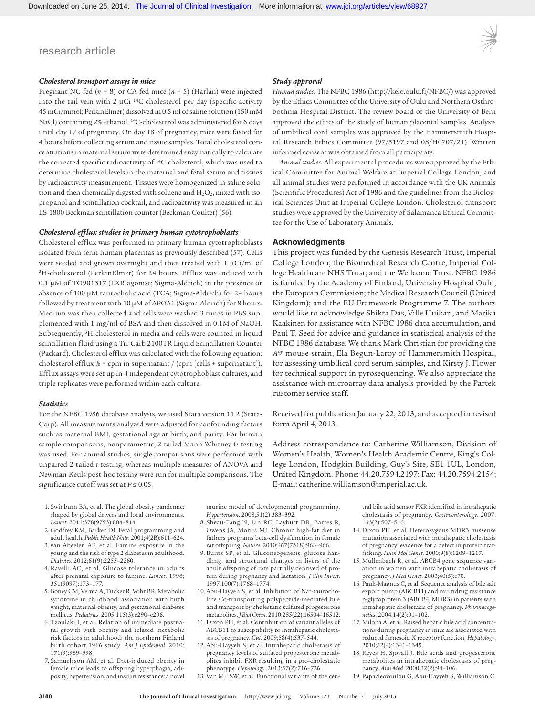## *Cholesterol transport assays in mice*

Pregnant NC-fed (*n* = 8) or CA-fed mice (*n* = 5) (Harlan) were injected into the tail vein with 2 μCi 14C-cholesterol per day (specific activity 45 mCi/mmol; PerkinElmer) dissolved in 0.5 ml of saline solution (150 mM NaCl) containing 2% ethanol. 14C-cholesterol was administered for 6 days until day 17 of pregnancy. On day 18 of pregnancy, mice were fasted for 4 hours before collecting serum and tissue samples. Total cholesterol concentrations in maternal serum were determined enzymatically to calculate the corrected specific radioactivity of 14C-cholesterol, which was used to determine cholesterol levels in the maternal and fetal serum and tissues by radioactivity measurement. Tissues were homogenized in saline solution and then chemically digested with soluene and  $H_2O_2$ , mixed with isopropanol and scintillation cocktail, and radioactivity was measured in an LS-1800 Beckman scintillation counter (Beckman Coulter) (56).

## *Cholesterol efflux studies in primary human cytotrophoblasts*

Cholesterol efflux was performed in primary human cytotrophoblasts isolated from term human placentas as previously described (57). Cells were seeded and grown overnight and then treated with 1 μCi/ml of 3H-cholesterol (PerkinElmer) for 24 hours. Efflux was induced with 0.1 μM of TO901317 (LXR agonist; Sigma-Aldrich) in the presence or absence of 100 μM taurocholic acid (TCA; Sigma-Aldrich) for 24 hours followed by treatment with 10 μM of APOA1 (Sigma-Aldrich) for 8 hours. Medium was then collected and cells were washed 3 times in PBS supplemented with 1 mg/ml of BSA and then dissolved in 0.1M of NaOH. Subsequently, 3H-cholesterol in media and cells were counted in liquid scintillation fluid using a Tri-Carb 2100TR Liquid Scintillation Counter (Packard). Cholesterol efflux was calculated with the following equation: cholesterol efflux  $% =$  cpm in supernatant / (cpm [cells + supernatant]). Efflux assays were set up in 4 independent cytotrophoblast cultures, and triple replicates were performed within each culture.

#### *Statistics*

For the NFBC 1986 database analysis, we used Stata version 11.2 (Stata-Corp). All measurements analyzed were adjusted for confounding factors such as maternal BMI, gestational age at birth, and parity. For human sample comparisons, nonparametric, 2-tailed Mann-Whitney *U* testing was used. For animal studies, single comparisons were performed with unpaired 2-tailed *t* testing, whereas multiple measures of ANOVA and Newman-Keuls post-hoc testing were run for multiple comparisons. The significance cutoff was set at  $P \le 0.05$ .

# *Study approval*

*Human studies*. The NFBC 1986 (http://kelo.oulu.fi/NFBC/) was approved by the Ethics Committee of the University of Oulu and Northern Osthrobothnia Hospital District. The review board of the University of Bern approved the ethics of the study of human placental samples. Analysis of umbilical cord samples was approved by the Hammersmith Hospital Research Ethics Committee (97/5197 and 08/H0707/21). Written informed consent was obtained from all participants.

*Animal studies*. All experimental procedures were approved by the Ethical Committee for Animal Welfare at Imperial College London, and all animal studies were performed in accordance with the UK Animals (Scientific Procedures) Act of 1986 and the guidelines from the Biological Sciences Unit at Imperial College London. Cholesterol transport studies were approved by the University of Salamanca Ethical Committee for the Use of Laboratory Animals.

# **Acknowledgments**

This project was funded by the Genesis Research Trust, Imperial College London; the Biomedical Research Centre, Imperial College Healthcare NHS Trust; and the Wellcome Trust. NFBC 1986 is funded by the Academy of Finland, University Hospital Oulu; the European Commission; the Medical Research Council (United Kingdom); and the EU Framework Programme 7. The authors would like to acknowledge Shikta Das, Ville Huikari, and Marika Kaakinen for assistance with NFBC 1986 data accumulation, and Paul T. Seed for advice and guidance in statistical analysis of the NFBC 1986 database. We thank Mark Christian for providing the *Avy* mouse strain, Ela Begun-Laroy of Hammersmith Hospital, for assessing umbilical cord serum samples, and Kirsty J. Flower for technical support in pyrosequencing. We also appreciate the assistance with microarray data analysis provided by the Partek customer service staff.

Received for publication January 22, 2013, and accepted in revised form April 4, 2013.

Address correspondence to: Catherine Williamson, Division of Women's Health, Women's Health Academic Centre, King's College London, Hodgkin Building, Guy's Site, SE1 1UL, London, United Kingdom. Phone: 44.20.7594.2197; Fax: 44.20.7594.2154; E-mail: catherine.williamson@imperial.ac.uk.

- 1. Swinburn BA, et al. The global obesity pandemic: shaped by global drivers and local environments. *Lancet*. 2011;378(9793):804–814.
- 2. Godfrey KM, Barker DJ. Fetal programming and adult health. *Public Health Nutr*. 2001;4(2B):611–624. 3. van Abeelen AF, et al. Famine exposure in the
- young and the risk of type 2 diabetes in adulthood. *Diabetes*. 2012;61(9):2255–2260. 4. Ravelli AC, et al. Glucose tolerance in adults
- after prenatal exposure to famine. *Lancet*. 1998; 351(9097):173–177.
- 5. Boney CM, Verma A, Tucker R, Vohr BR. Metabolic syndrome in childhood: association with birth weight, maternal obesity, and gestational diabetes mellitus. *Pediatrics*. 2005;115(3):e290–e296.
- 6. Tzoulaki I, et al. Relation of immediate postnatal growth with obesity and related metabolic risk factors in adulthood: the northern Finland birth cohort 1966 study. *Am J Epidemiol*. 2010; 171(9):989–998.
- 7. Samuelsson AM, et al. Diet-induced obesity in female mice leads to offspring hyperphagia, adiposity, hypertension, and insulin resistance: a novel

murine model of developmental programming. *Hypertension*. 2008;51(2):383–392.

- 8. Sheau-Fang N, Lin RC, Laybutt DR, Barres R, Owens JA, Morris MJ. Chronic high-fat diet in fathers programs beta-cell dysfunction in female rat offspring. *Nature*. 2010;467(7318):963–966.
- 9. Burns SP, et al. Gluconeogenesis, glucose handling, and structural changes in livers of the adult offspring of rats partially deprived of protein during pregnancy and lactation. *J Clin Invest*. 1997;100(7):1768–1774.
- 10. Abu-Hayyeh S, et al. Inhibition of Na+-taurocholate Co-transporting polypeptide-mediated bile acid transport by cholestatic sulfated progesterone metabolites. *J Biol Chem*. 2010;285(22):16504–16512.
- 11. Dixon PH, et al. Contribution of variant alleles of ABCB11 to susceptibility to intrahepatic cholestasis of pregnancy. *Gut*. 2009;58(4):537–544.
- 12. Abu-Hayyeh S, et al. Intrahepatic cholestasis of pregnancy levels of sulfated progesterone metabolites inhibit FXR resulting in a pro-cholestatic phenotype. *Hepatology*. 2013;57(2):716–726.
- 13. Van Mil SW, et al. Functional variants of the cen-

cholestasis of pregnancy. *Gastroenterology*. 2007; 133(2):507–516. 14. Dixon PH, et al. Heterozygous MDR3 missense mutation associated with intrahepatic cholestasis

tral bile acid sensor FXR identified in intrahepatic

- of pregnancy: evidence for a defect in protein trafficking. *Hum Mol Genet*. 2000;9(8):1209–1217. 15. Mullenbach R, et al. ABCB4 gene sequence vari-
- ation in women with intrahepatic cholestasis of pregnancy. *J Med Genet*. 2003;40(5):e70.
- 16. Pauli-Magnus C, et al. Sequence analysis of bile salt export pump (ABCB11) and multidrug resistance p-glycoprotein 3 (ABCB4, MDR3) in patients with intrahepatic cholestasis of pregnancy. *Pharmacogenetics*. 2004;14(2):91–102.
- 17. Milona A, et al. Raised hepatic bile acid concentrations during pregnancy in mice are associated with reduced farnesoid X receptor function. *Hepatology*. 2010;52(4):1341–1349.
- 18. Reyes H, Sjovall J. Bile acids and progesterone metabolites in intrahepatic cholestasis of pregnancy. *Ann Med*. 2000;32(2):94–106.
- 19. Papacleovoulou G, Abu-Hayyeh S, Williamson C.